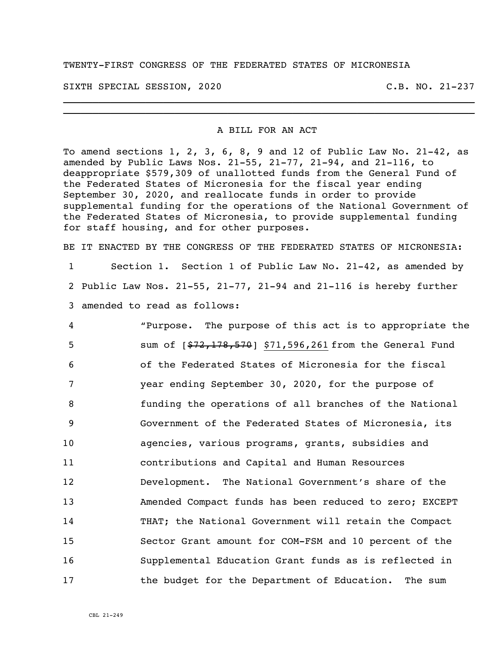## TWENTY-FIRST CONGRESS OF THE FEDERATED STATES OF MICRONESIA

SIXTH SPECIAL SESSION, 2020 C.B. NO. 21-237

## A BILL FOR AN ACT

\_\_\_\_\_\_\_\_\_\_\_\_\_\_\_\_\_\_\_\_\_\_\_\_\_\_\_\_\_\_\_\_\_\_\_\_\_\_\_\_\_\_\_\_\_\_\_\_\_\_\_\_\_\_\_\_\_\_\_\_\_\_\_\_\_\_\_\_\_\_ \_\_\_\_\_\_\_\_\_\_\_\_\_\_\_\_\_\_\_\_\_\_\_\_\_\_\_\_\_\_\_\_\_\_\_\_\_\_\_\_\_\_\_\_\_\_\_\_\_\_\_\_\_\_\_\_\_\_\_\_\_\_\_\_\_\_\_\_\_\_

To amend sections 1, 2, 3, 6, 8, 9 and 12 of Public Law No. 21-42, as amended by Public Laws Nos. 21-55, 21-77, 21-94, and 21-116, to deappropriate \$579,309 of unallotted funds from the General Fund of the Federated States of Micronesia for the fiscal year ending September 30, 2020, and reallocate funds in order to provide supplemental funding for the operations of the National Government of the Federated States of Micronesia, to provide supplemental funding for staff housing, and for other purposes.

BE IT ENACTED BY THE CONGRESS OF THE FEDERATED STATES OF MICRONESIA: Section 1. Section 1 of Public Law No. 21-42, as amended by Public Law Nos. 21-55, 21-77, 21-94 and 21-116 is hereby further amended to read as follows:

 "Purpose. The purpose of this act is to appropriate the 5 sum of  $\left[\frac{$72,178,570}{90,261} \right]$  \$71,596,261 from the General Fund of the Federated States of Micronesia for the fiscal year ending September 30, 2020, for the purpose of funding the operations of all branches of the National Government of the Federated States of Micronesia, its agencies, various programs, grants, subsidies and contributions and Capital and Human Resources Development. The National Government's share of the Amended Compact funds has been reduced to zero; EXCEPT THAT; the National Government will retain the Compact Sector Grant amount for COM-FSM and 10 percent of the Supplemental Education Grant funds as is reflected in the budget for the Department of Education. The sum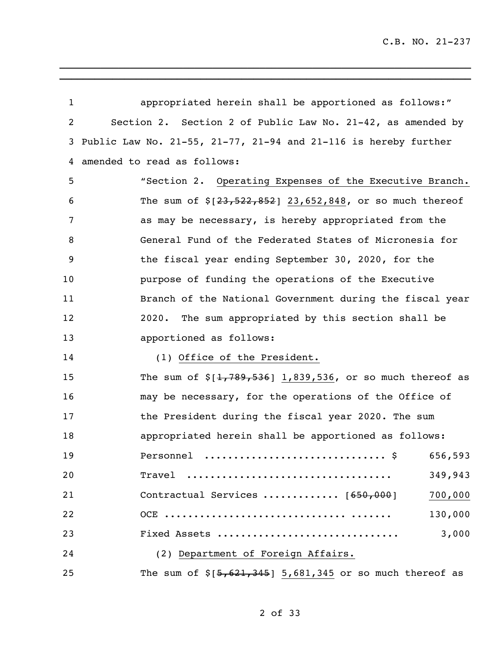| $\mathbf{1}$   | appropriated herein shall be apportioned as follows:"           |
|----------------|-----------------------------------------------------------------|
| $\overline{2}$ | Section 2. Section 2 of Public Law No. 21-42, as amended by     |
| 3              | Public Law No. 21-55, 21-77, 21-94 and 21-116 is hereby further |
| 4              | amended to read as follows:                                     |
| 5              | "Section 2. Operating Expenses of the Executive Branch.         |
| 6              | The sum of $\S[23, 522, 852]$ 23,652,848, or so much thereof    |
| 7              | as may be necessary, is hereby appropriated from the            |
| 8              | General Fund of the Federated States of Micronesia for          |
| 9              | the fiscal year ending September 30, 2020, for the              |
| 10             | purpose of funding the operations of the Executive              |
| 11             | Branch of the National Government during the fiscal year        |
| 12             | The sum appropriated by this section shall be<br>2020.          |
| 13             | apportioned as follows:                                         |
| 14             | (1) Office of the President.                                    |
| 15             | The sum of $$[1, 789, 536]$ 1,839,536, or so much thereof as    |
| 16             | may be necessary, for the operations of the Office of           |
| 17             | the President during the fiscal year 2020. The sum              |
| 18             | appropriated herein shall be apportioned as follows:            |
| 19             | Personnel \$ 656,593                                            |
| 20             | $\text{Trace}$<br>349,943                                       |
| 21             | Contractual Services  [650,000]<br>700,000                      |
| 22             | 130,000                                                         |
| 23             | 3,000<br>Fixed Assets                                           |
| 24             | (2) Department of Foreign Affairs.                              |
| 25             | The sum of $$[5,621,345]$ 5,681,345 or so much thereof as       |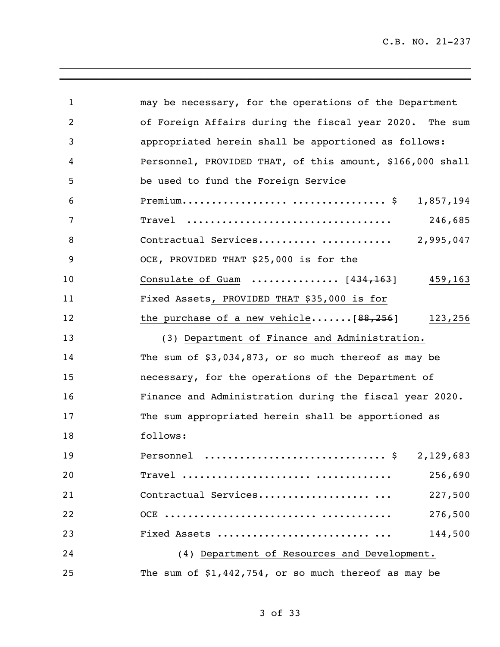| $\mathbf 1$ | may be necessary, for the operations of the Department               |
|-------------|----------------------------------------------------------------------|
| 2           | of Foreign Affairs during the fiscal year 2020. The sum              |
| 3           | appropriated herein shall be apportioned as follows:                 |
| 4           | Personnel, PROVIDED THAT, of this amount, \$166,000 shall            |
| 5           | be used to fund the Foreign Service                                  |
| 6           | 1,857,194                                                            |
| 7           | 246,685<br>Travel                                                    |
| 8           | 2,995,047<br>Contractual Services                                    |
| 9           | OCE, PROVIDED THAT \$25,000 is for the                               |
| 10          | Consulate of Guam $\ldots \ldots \ldots \ldots$ [434,163]<br>459,163 |
| 11          | Fixed Assets, PROVIDED THAT \$35,000 is for                          |
| 12          | the purchase of a new vehicle $[88, 256]$<br>123,256                 |
| 13          | (3) Department of Finance and Administration.                        |
| 14          | The sum of $$3,034,873$ , or so much thereof as may be               |
| 15          | necessary, for the operations of the Department of                   |
| 16          | Finance and Administration during the fiscal year 2020.              |
| 17          | The sum appropriated herein shall be apportioned as                  |
| 18          | follows:                                                             |
| 19          | Personnel  \$ 2,129,683                                              |
| 20          | 256,690                                                              |
| 21          | Contractual Services<br>227,500                                      |
| 22          | 276,500                                                              |
| 23          | Fixed Assets<br>144,500                                              |
| 24          | (4) Department of Resources and Development.                         |
| 25          | The sum of $$1,442,754$ , or so much thereof as may be               |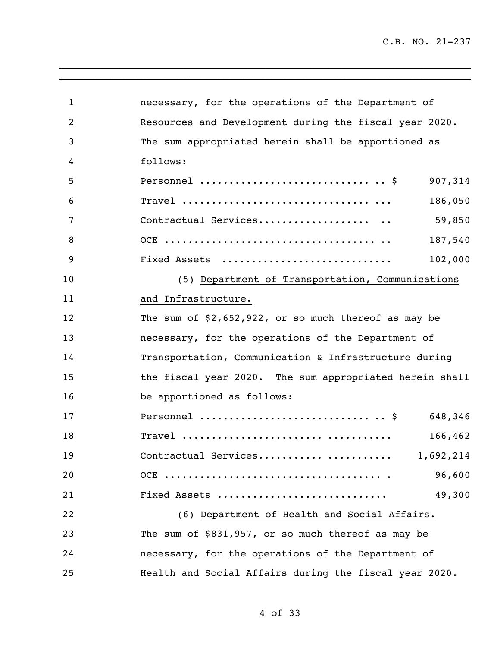| 1  | necessary, for the operations of the Department of      |  |
|----|---------------------------------------------------------|--|
| 2  | Resources and Development during the fiscal year 2020.  |  |
| 3  | The sum appropriated herein shall be apportioned as     |  |
| 4  | follows:                                                |  |
| 5  | Personnel $\frac{1}{5}$<br>907,314                      |  |
| 6  | 186,050                                                 |  |
| 7  | 59,850<br>Contractual Services                          |  |
| 8  | 187,540                                                 |  |
| 9  | 102,000<br>Fixed Assets                                 |  |
| 10 | (5) Department of Transportation, Communications        |  |
| 11 | and Infrastructure.                                     |  |
| 12 | The sum of $$2,652,922$ , or so much thereof as may be  |  |
| 13 | necessary, for the operations of the Department of      |  |
| 14 | Transportation, Communication & Infrastructure during   |  |
| 15 | the fiscal year 2020. The sum appropriated herein shall |  |
| 16 | be apportioned as follows:                              |  |
| 17 | 648,346                                                 |  |
| 18 | 166,462                                                 |  |
| 19 | Contractual Services<br>1,692,214                       |  |
| 20 | 96,600                                                  |  |
| 21 | 49,300<br>Fixed Assets                                  |  |
| 22 | (6) Department of Health and Social Affairs.            |  |
| 23 | The sum of \$831,957, or so much thereof as may be      |  |
| 24 | necessary, for the operations of the Department of      |  |
| 25 | Health and Social Affairs during the fiscal year 2020.  |  |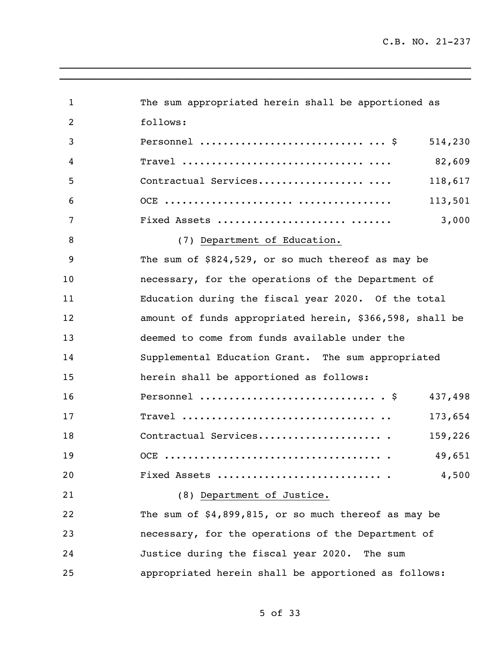| $\mathbf 1$ | The sum appropriated herein shall be apportioned as                                               |
|-------------|---------------------------------------------------------------------------------------------------|
| 2           | follows:                                                                                          |
| 3           | Personnel $\frac{1}{2}$<br>514,230                                                                |
| 4           | 82,609                                                                                            |
| 5           | Contractual Services<br>118,617                                                                   |
| 6           | 113,501                                                                                           |
| 7           | Fixed Assets<br>3,000                                                                             |
| 8           | (7) Department of Education.                                                                      |
| 9           | The sum of \$824,529, or so much thereof as may be                                                |
| 10          | necessary, for the operations of the Department of                                                |
| 11          | Education during the fiscal year 2020. Of the total                                               |
| 12          | amount of funds appropriated herein, \$366,598, shall be                                          |
| 13          | deemed to come from funds available under the                                                     |
| 14          | Supplemental Education Grant. The sum appropriated                                                |
| 15          | herein shall be apportioned as follows:                                                           |
| 16          | Personnel $\S$<br>437,498                                                                         |
| 17          | $Travel \dots \dots \dots \dots \dots \dots \dots \dots \dots \dots \dots \dots \dots$<br>173,654 |
| 18          | Contractual Services<br>159,226                                                                   |
| 19          | 49,651                                                                                            |
| 20          | Fixed Assets<br>4,500                                                                             |
| 21          | (8) Department of Justice.                                                                        |
| 22          | The sum of $$4,899,815$ , or so much thereof as may be                                            |
| 23          | necessary, for the operations of the Department of                                                |
| 24          | Justice during the fiscal year 2020. The sum                                                      |
| 25          | appropriated herein shall be apportioned as follows:                                              |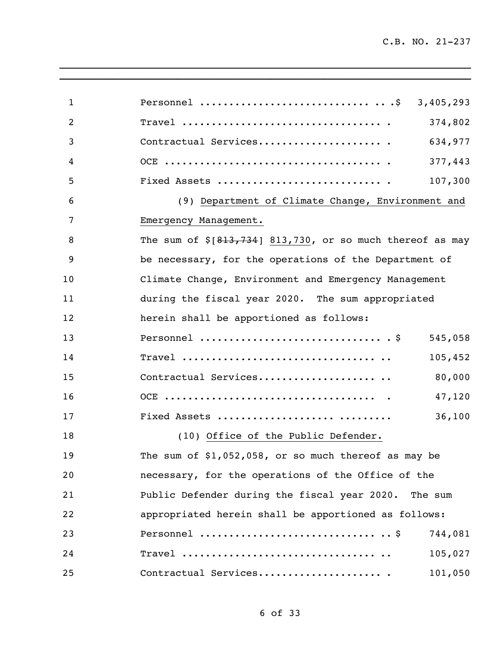| $\mathbf{1}$   |                                                              |
|----------------|--------------------------------------------------------------|
| $\overline{2}$ | 374,802                                                      |
| 3              | Contractual Services<br>634,977                              |
| 4              | 377,443                                                      |
| 5              | Fixed Assets<br>107,300                                      |
| 6              | (9) Department of Climate Change, Environment and            |
| 7              | Emergency Management.                                        |
| 8              | The sum of $\S[813, 734]$ 813,730, or so much thereof as may |
| 9              | be necessary, for the operations of the Department of        |
| 10             | Climate Change, Environment and Emergency Management         |
| 11             | during the fiscal year 2020. The sum appropriated            |
| 12             | herein shall be apportioned as follows:                      |
| 13             | 545,058                                                      |
| 14             | 105,452                                                      |
| 15             | Contractual Services<br>80,000                               |
| 16             | 47,120                                                       |
| 17             | Fixed Assets<br>36,100                                       |
| 18             | (10) Office of the Public Defender.                          |
| 19             | The sum of $$1,052,058$ , or so much thereof as may be       |
| 20             | necessary, for the operations of the Office of the           |
| 21             | Public Defender during the fiscal year 2020. The sum         |
| 22             | appropriated herein shall be apportioned as follows:         |
| 23             | 744,081                                                      |
| 24             | 105,027                                                      |
| 25             | Contractual Services<br>101,050                              |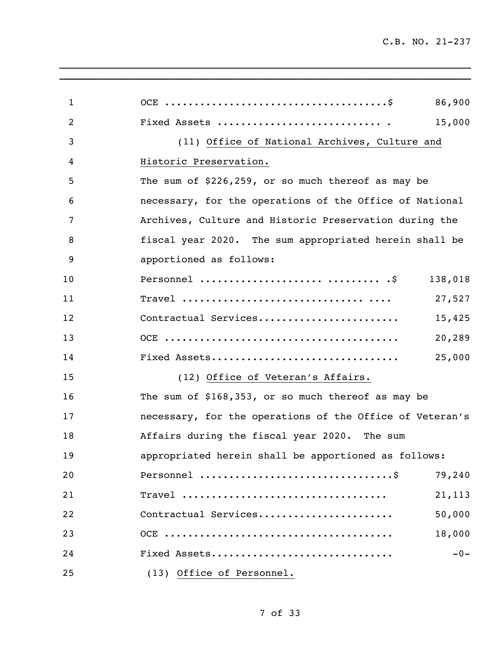| $\mathbf{1}$ |                                                          | 86,900  |
|--------------|----------------------------------------------------------|---------|
| 2            |                                                          | 15,000  |
| 3            | (11) Office of National Archives, Culture and            |         |
| 4            | Historic Preservation.                                   |         |
| 5            | The sum of \$226,259, or so much thereof as may be       |         |
| 6            | necessary, for the operations of the Office of National  |         |
| 7            | Archives, Culture and Historic Preservation during the   |         |
| 8            | fiscal year 2020. The sum appropriated herein shall be   |         |
| 9            | apportioned as follows:                                  |         |
| 10           | Personnel   .\$                                          | 138,018 |
| 11           |                                                          | 27,527  |
| 12           | Contractual Services                                     | 15,425  |
| 13           |                                                          | 20,289  |
| 14           | Fixed Assets                                             | 25,000  |
| 15           | (12) Office of Veteran's Affairs.                        |         |
| 16           | The sum of \$168,353, or so much thereof as may be       |         |
| 17           | necessary, for the operations of the Office of Veteran's |         |
| 18           | Affairs during the fiscal year 2020. The sum             |         |
| 19           | appropriated herein shall be apportioned as follows:     |         |
| 20           |                                                          | 79,240  |
| 21           |                                                          | 21,113  |
| 22           | Contractual Services                                     | 50,000  |
| 23           |                                                          | 18,000  |
| 24           | Fixed Assets                                             | $-0-$   |
| 25           | (13) Office of Personnel.                                |         |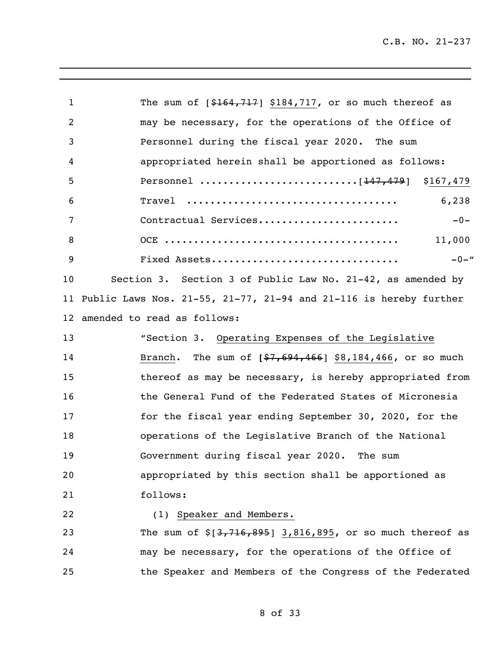| $\mathbf{1}$   | The sum of $[$164,717]$ \$184,717, or so much thereof as                    |
|----------------|-----------------------------------------------------------------------------|
| $\overline{2}$ | may be necessary, for the operations of the Office of                       |
| 3              | Personnel during the fiscal year 2020. The sum                              |
| 4              | appropriated herein shall be apportioned as follows:                        |
| 5              |                                                                             |
| 6              | Travel<br>6,238                                                             |
| 7              | Contractual Services<br>$-0-$                                               |
| 8              | 11,000                                                                      |
| 9              | Fixed Assets<br>$-0-$ "                                                     |
| 10             | Section 3. Section 3 of Public Law No. 21-42, as amended by                 |
| 11             | Public Laws Nos. $21-55$ , $21-77$ , $21-94$ and $21-116$ is hereby further |
| 12             | amended to read as follows:                                                 |
| 13             | "Section 3. Operating Expenses of the Legislative                           |
| 14             | The sum of $[$7,694,466]$ \$8,184,466, or so much<br>Branch.                |
| 15             | thereof as may be necessary, is hereby appropriated from                    |
| 16             | the General Fund of the Federated States of Micronesia                      |
| 17             | for the fiscal year ending September 30, 2020, for the                      |
| 18             | operations of the Legislative Branch of the National                        |
| 19             | Government during fiscal year 2020. The sum                                 |
| 20             | appropriated by this section shall be apportioned as                        |
| 21             | follows:                                                                    |
| 22             | (1) Speaker and Members.                                                    |
| 23             | The sum of $\S[3, 716, 895]$ 3,816,895, or so much thereof as               |
| 24             | may be necessary, for the operations of the Office of                       |
| 25             | the Speaker and Members of the Congress of the Federated                    |
|                |                                                                             |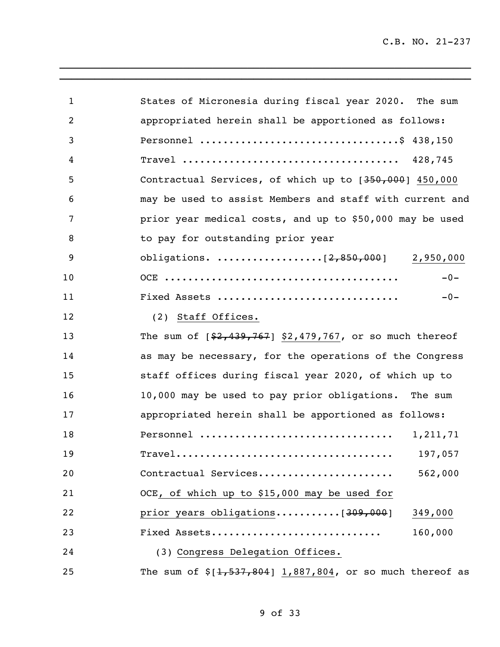| $\mathbf{1}$ | States of Micronesia during fiscal year 2020. The sum                                                           |
|--------------|-----------------------------------------------------------------------------------------------------------------|
| 2            | appropriated herein shall be apportioned as follows:                                                            |
| 3            |                                                                                                                 |
| 4            |                                                                                                                 |
| 5            | Contractual Services, of which up to [350,000] 450,000                                                          |
| 6            | may be used to assist Members and staff with current and                                                        |
| 7            | prior year medical costs, and up to \$50,000 may be used                                                        |
| 8            | to pay for outstanding prior year                                                                               |
| 9            |                                                                                                                 |
| 10           | $-0-$                                                                                                           |
| 11           | Fixed Assets<br>$-0-$                                                                                           |
| 12           | (2) Staff Offices.                                                                                              |
| 13           | The sum of $[$2,439,767]$ \$2,479,767, or so much thereof                                                       |
| 14           | as may be necessary, for the operations of the Congress                                                         |
| 15           | staff offices during fiscal year 2020, of which up to                                                           |
| 16           | 10,000 may be used to pay prior obligations. The sum                                                            |
| 17           | appropriated herein shall be apportioned as follows:                                                            |
| 18           | Personnel<br>1,211,71                                                                                           |
| 19           | 197,057<br>$\texttt{True}1 \dots \dots \dots \dots \dots \dots \dots \dots \dots \dots \dots \dots \dots \dots$ |
| 20           | Contractual Services<br>562,000                                                                                 |
| 21           | OCE, of which up to \$15,000 may be used for                                                                    |
| 22           | 349,000                                                                                                         |
| 23           | Fixed Assets<br>160,000                                                                                         |
| 24           | (3) Congress Delegation Offices.                                                                                |
| 25           | The sum of $$[1,537,804]$ 1,887,804, or so much thereof as                                                      |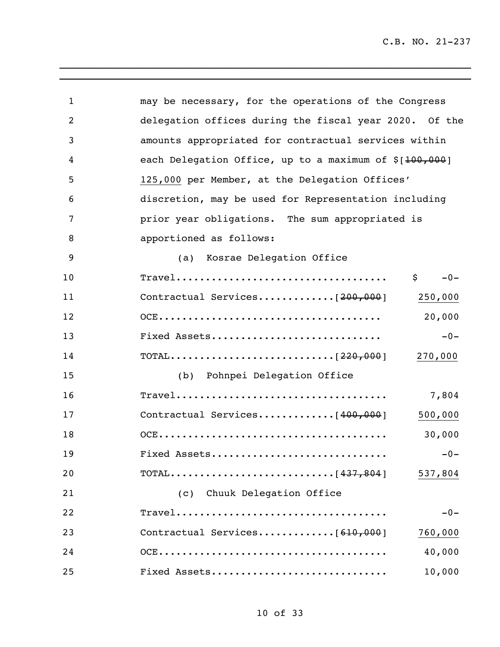| $\mathbf{1}$   | may be necessary, for the operations of the Congress                |
|----------------|---------------------------------------------------------------------|
| $\overline{2}$ | delegation offices during the fiscal year 2020. Of the              |
| 3              | amounts appropriated for contractual services within                |
| 4              | each Delegation Office, up to a maximum of \$[ <del>100,000</del> ] |
| 5              | 125,000 per Member, at the Delegation Offices'                      |
| 6              | discretion, may be used for Representation including                |
| 7              | prior year obligations. The sum appropriated is                     |
| 8              | apportioned as follows:                                             |
| 9              | (a) Kosrae Delegation Office                                        |
| 10             | $-0-$<br>\$                                                         |
| 11             | 250,000                                                             |
| 12             | 20,000                                                              |
| 13             | Fixed Assets<br>$-0-$                                               |
| 14             | 270,000                                                             |
| 15             | (b) Pohnpei Delegation Office                                       |
| 16             | 7,804                                                               |
| 17             | 500,000                                                             |
| 18             | 30,000                                                              |
| 19             | Fixed Assets<br>$-0-$                                               |
| 20             | 537,804                                                             |
| 21             | (c) Chuuk Delegation Office                                         |
| 22             | $-0-$                                                               |
| 23             | 760,000                                                             |
| 24             | 40,000                                                              |
| 25             | Fixed Assets<br>10,000                                              |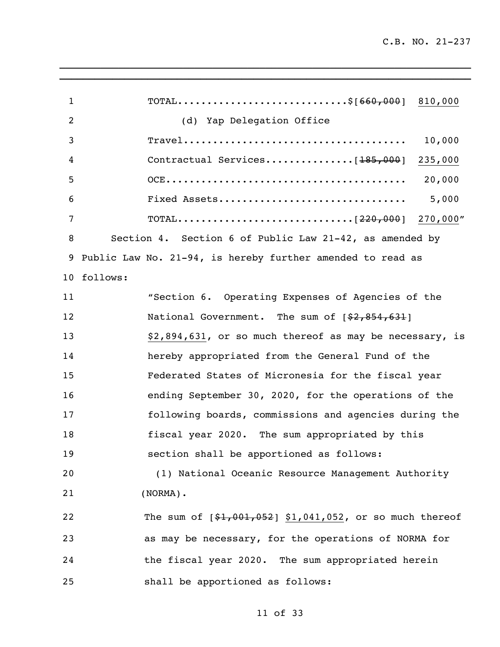| 1  | TOTAL\$[660,000] 810,000                                                                                 |
|----|----------------------------------------------------------------------------------------------------------|
| 2  | (d) Yap Delegation Office                                                                                |
| 3  | $\texttt{True}1 \dots \dots \dots \dots \dots \dots \dots \dots \dots \dots \dots \dots \dots$<br>10,000 |
| 4  | Contractual Services[ <del>185,000</del> ] 235,000                                                       |
| 5  |                                                                                                          |
| 6  | 5,000<br>Fixed Assets                                                                                    |
| 7  |                                                                                                          |
| 8  | Section 4. Section 6 of Public Law 21-42, as amended by                                                  |
| 9  | Public Law No. 21-94, is hereby further amended to read as                                               |
|    | 10 follows:                                                                                              |
| 11 | "Section 6. Operating Expenses of Agencies of the                                                        |
| 12 | National Government. The sum of [\$2,854,631]                                                            |
| 13 | \$2,894,631, or so much thereof as may be necessary, is                                                  |
| 14 | hereby appropriated from the General Fund of the                                                         |
| 15 | Federated States of Micronesia for the fiscal year                                                       |
| 16 | ending September 30, 2020, for the operations of the                                                     |
| 17 | following boards, commissions and agencies during the                                                    |
| 18 | fiscal year 2020. The sum appropriated by this                                                           |
| 19 | section shall be apportioned as follows:                                                                 |
| 20 | (1) National Oceanic Resource Management Authority                                                       |
| 21 | $(NORMAL)$ .                                                                                             |
| 22 | The sum of $[$1,001,052]$ \$1,041,052, or so much thereof                                                |
| 23 | as may be necessary, for the operations of NORMA for                                                     |
| 24 | the fiscal year 2020. The sum appropriated herein                                                        |
| 25 | shall be apportioned as follows:                                                                         |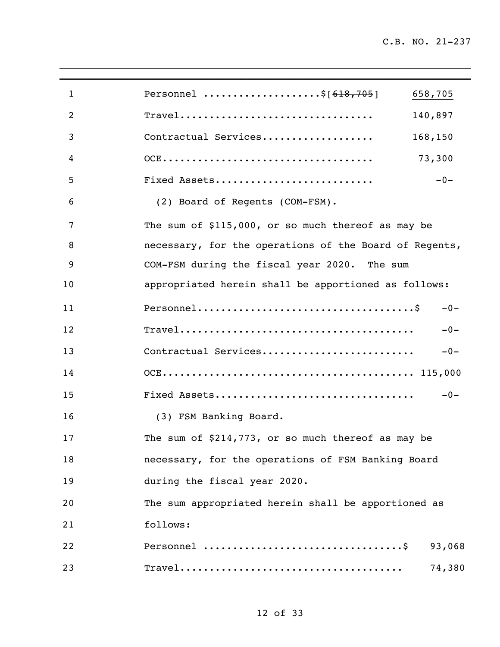| 1              | Personnel \$[ <del>618,705</del> ]                     | 658,705 |
|----------------|--------------------------------------------------------|---------|
| $\overline{2}$ |                                                        | 140,897 |
| 3              | Contractual Services                                   | 168,150 |
| 4              |                                                        | 73,300  |
| 5              | Fixed Assets                                           | $-0-$   |
| 6              | (2) Board of Regents (COM-FSM).                        |         |
| 7              | The sum of \$115,000, or so much thereof as may be     |         |
| 8              | necessary, for the operations of the Board of Regents, |         |
| 9              | COM-FSM during the fiscal year 2020. The sum           |         |
| 10             | appropriated herein shall be apportioned as follows:   |         |
| 11             |                                                        | $-0-$   |
| 12             |                                                        | $-0-$   |
| 13             | Contractual Services                                   | $-0-$   |
| 14             |                                                        |         |
| 15             |                                                        | $-0-$   |
| 16             | (3) FSM Banking Board.                                 |         |
| 17             | The sum of \$214,773, or so much thereof as may be     |         |
| 18             | necessary, for the operations of FSM Banking Board     |         |
| 19             | during the fiscal year 2020.                           |         |
| 20             | The sum appropriated herein shall be apportioned as    |         |
| 21             | follows:                                               |         |
| 22             |                                                        | 93,068  |
| 23             |                                                        | 74,380  |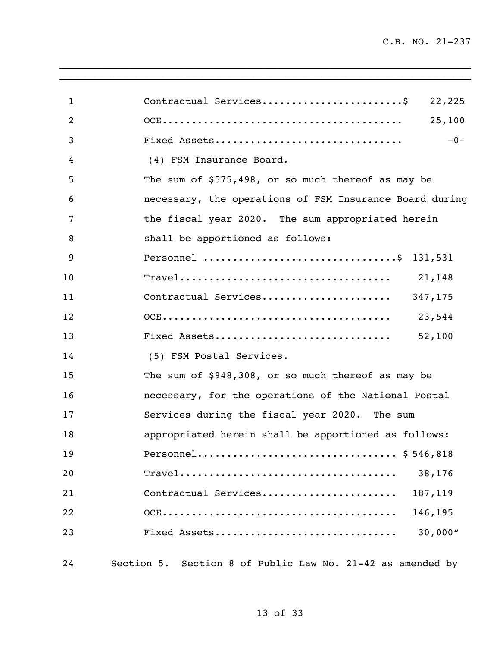| $\mathbf{1}$   | Contractual Services\$<br>22,225                           |
|----------------|------------------------------------------------------------|
| $\overline{2}$ | 25,100                                                     |
| 3              | Fixed Assets<br>$-0-$                                      |
| 4              | (4) FSM Insurance Board.                                   |
| 5              | The sum of \$575,498, or so much thereof as may be         |
| 6              | necessary, the operations of FSM Insurance Board during    |
| 7              | the fiscal year 2020. The sum appropriated herein          |
| 8              | shall be apportioned as follows:                           |
| 9              | Personnel \$ 131,531                                       |
| 10             |                                                            |
| 11             | Contractual Services 347,175                               |
| 12             |                                                            |
| 13             | Fixed Assets<br>52,100                                     |
| 14             | (5) FSM Postal Services.                                   |
| 15             | The sum of \$948,308, or so much thereof as may be         |
| 16             | necessary, for the operations of the National Postal       |
| 17             | Services during the fiscal year 2020. The sum              |
| 18             | appropriated herein shall be apportioned as follows:       |
| 19             | Personnel \$546,818                                        |
| 20             | 38,176                                                     |
| 21             | Contractual Services<br>187,119                            |
| 22             | 146,195                                                    |
| 23             | 30,000''<br>Fixed Assets                                   |
|                |                                                            |
| 24             | Section 5. Section 8 of Public Law No. 21-42 as amended by |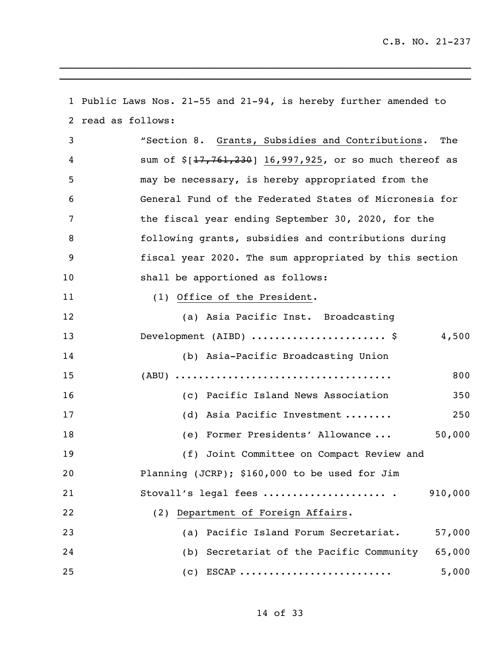Public Laws Nos. 21-55 and 21-94, is hereby further amended to read as follows: "Section 8. Grants, Subsidies and Contributions. The 4 sum of  $\frac{17,761,230}{16,997,925}$ , or so much thereof as may be necessary, is hereby appropriated from the General Fund of the Federated States of Micronesia for the fiscal year ending September 30, 2020, for the following grants, subsidies and contributions during fiscal year 2020. The sum appropriated by this section shall be apportioned as follows: 11 (1) Office of the President. (a) Asia Pacific Inst. Broadcasting 13 Development (AIBD) ...........................\$ 4,500 (b) Asia-Pacific Broadcasting Union (ABU) ..................................... 800 (c) Pacific Island News Association 350 (d) Asia Pacific Investment ........ 250 (e) Former Presidents' Allowance ... 50,000 (f) Joint Committee on Compact Review and Planning (JCRP); \$160,000 to be used for Jim Stovall's legal fees ..................... . 910,000 (2) Department of Foreign Affairs. (a) Pacific Island Forum Secretariat. 57,000 (b) Secretariat of the Pacific Community 65,000 (c) ESCAP .......................... 5,000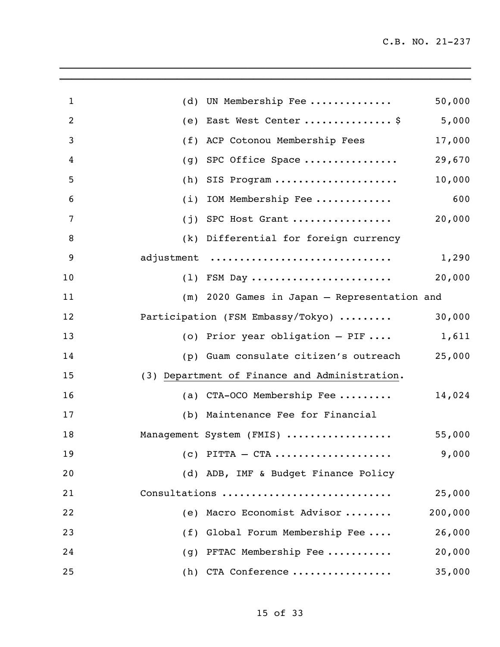| $\mathbf{1}$   | (d) | UN Membership Fee                                             | 50,000  |
|----------------|-----|---------------------------------------------------------------|---------|
| $\overline{2}$ | (e) | East West Center  \$                                          | 5,000   |
| 3              | (f) | ACP Cotonou Membership Fees                                   | 17,000  |
| 4              | (g) | SPC Office Space                                              | 29,670  |
| 5              | (h) | SIS Program                                                   | 10,000  |
| 6              | (i) | IOM Membership Fee                                            | 600     |
| 7              | (j) | SPC Host Grant                                                | 20,000  |
| 8              |     | (k) Differential for foreign currency                         |         |
| 9              |     | adjustment                                                    | 1,290   |
| 10             |     | $(1)$ FSM Day                                                 | 20,000  |
| 11             |     | (m) 2020 Games in Japan - Representation and                  |         |
| 12             |     | Participation (FSM Embassy/Tokyo)                             | 30,000  |
| 13             |     | (o) Prior year obligation $-$ PIF                             | 1,611   |
| 14             |     | (p) Guam consulate citizen's outreach                         | 25,000  |
| 15             |     | (3) Department of Finance and Administration.                 |         |
| 16             |     | (a) CTA-OCO Membership Fee                                    | 14,024  |
| 17             |     | (b) Maintenance Fee for Financial                             |         |
| 18             |     | Management System (FMIS)                                      | 55,000  |
| 19             |     | $(c)$ PITTA — CTA $\ldots \ldots \ldots \ldots \ldots \ldots$ | 9,000   |
| 20             |     | (d) ADB, IMF & Budget Finance Policy                          |         |
| 21             |     | Consultations                                                 | 25,000  |
| 22             |     | (e) Macro Economist Advisor                                   | 200,000 |
| 23             |     | (f) Global Forum Membership Fee                               | 26,000  |
| 24             |     | (g) PFTAC Membership Fee                                      | 20,000  |
| 25             |     | (h) CTA Conference                                            | 35,000  |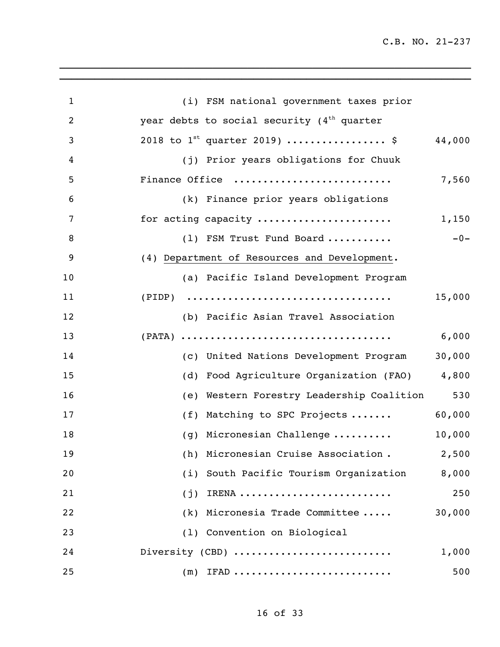| $\mathbf{1}$   | (i) FSM national government taxes prior             |     |
|----------------|-----------------------------------------------------|-----|
| $\overline{2}$ | year debts to social security $(4th$ quarter        |     |
| 3              | 2018 to $1^{st}$ quarter 2019)  \$<br>44,000        |     |
| 4              | (j) Prior years obligations for Chuuk               |     |
| 5              | Finance Office<br>7,560                             |     |
| 6              | (k) Finance prior years obligations                 |     |
| 7              | for acting capacity<br>1,150                        |     |
| 8              | $-0-$<br>(1) FSM Trust Fund Board                   |     |
| 9              | (4) Department of Resources and Development.        |     |
| 10             | (a) Pacific Island Development Program              |     |
| 11             | 15,000                                              |     |
| 12             | (b) Pacific Asian Travel Association                |     |
| 13             | 6,000                                               |     |
| 14             | 30,000<br>(c) United Nations Development Program    |     |
| 15             | Food Agriculture Organization (FAO) 4,800<br>(d)    |     |
| 16             | 530<br>Western Forestry Leadership Coalition<br>(e) |     |
| 17             | 60,000<br>Matching to SPC Projects<br>(f)           |     |
| 18             | 10,000<br>(g) Micronesian Challenge                 |     |
| 19             | 2,500<br>(h) Micronesian Cruise Association.        |     |
| 20             | (i) South Pacific Tourism Organization<br>8,000     |     |
| 21             | $(j)$ IRENA<br>250                                  |     |
| 22             | (k) Micronesia Trade Committee<br>30,000            |     |
| 23             | (1) Convention on Biological                        |     |
| 24             | Diversity (CBD)<br>1,000                            |     |
| 25             | $(m)$ IFAD                                          | 500 |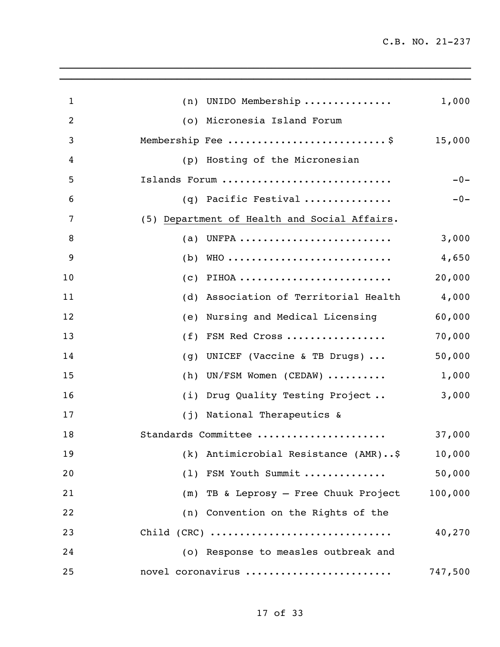| $\mathbf{1}$   | UNIDO Membership<br>(n)                                                      | 1,000   |
|----------------|------------------------------------------------------------------------------|---------|
| $\overline{2}$ | (o) Micronesia Island Forum                                                  |         |
| 3              | Membership Fee \$                                                            | 15,000  |
| 4              | (p) Hosting of the Micronesian                                               |         |
| 5              | Islands Forum                                                                | $-0-$   |
| 6              | $(q)$ Pacific Festival                                                       | $-0-$   |
| 7              | (5) Department of Health and Social Affairs.                                 |         |
| 8              | (a)                                                                          | 3,000   |
| 9              | (b)                                                                          | 4,650   |
| 10             | (C)                                                                          | 20,000  |
| 11             | Association of Territorial Health<br>(d)                                     | 4,000   |
| 12             | Nursing and Medical Licensing<br>(e)                                         | 60,000  |
| 13             | FSM Red Cross<br>(f)                                                         | 70,000  |
| 14             | UNICEF (Vaccine & TB Drugs) $\ldots$<br>(g)                                  | 50,000  |
| 15             | $UN/FSM$ Women (CEDAW) $\ldots \ldots$<br>(h)                                | 1,000   |
| 16             | (i) Drug Quality Testing Project                                             | 3,000   |
| 17             | (j) National Therapeutics &                                                  |         |
| 18             | Standards Committee                                                          | 37,000  |
| 19             | (k) Antimicrobial Resistance (AMR)\$                                         | 10,000  |
| 20             | (1) FSM Youth Summit                                                         | 50,000  |
| 21             | (m) TB & Leprosy - Free Chuuk Project                                        | 100,000 |
| 22             | (n) Convention on the Rights of the                                          |         |
| 23             | $Child (CRC) \ldots \ldots \ldots \ldots \ldots \ldots \ldots \ldots \ldots$ | 40,270  |
| 24             | (o) Response to measles outbreak and                                         |         |
| 25             | novel coronavirus                                                            | 747,500 |
|                |                                                                              |         |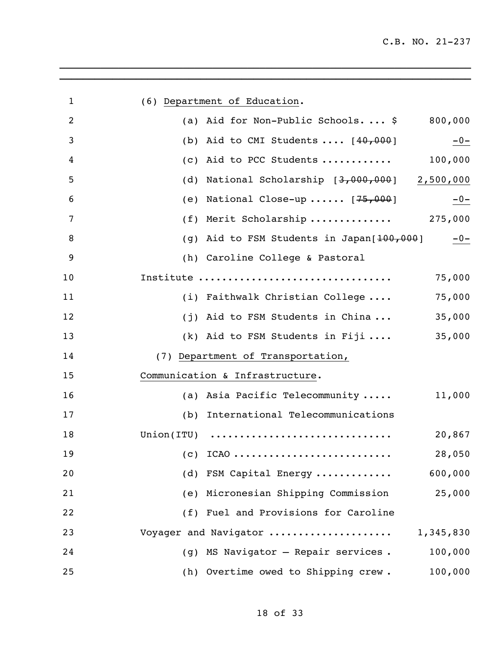| 1  | (6) Department of Education.                                    |
|----|-----------------------------------------------------------------|
| 2  | (a) Aid for Non-Public Schools $$800,000$                       |
| 3  | (b) Aid to CMI Students $\ldots$ [40,000]<br>$-0-$              |
| 4  | 100,000<br>Aid to PCC Students<br>(c)                           |
| 5  | National Scholarship [3,000,000] 2,500,000<br>(d)               |
| 6  | National Close-up $[75,000]$<br>$-0-$<br>(e)                    |
| 7  | Merit Scholarship 275,000<br>(f)                                |
| 8  | (g) Aid to FSM Students in Japan[ <del>100,000</del> ]<br>$-0-$ |
| 9  | (h) Caroline College & Pastoral                                 |
| 10 | Institute<br>75,000                                             |
| 11 | 75,000<br>(i) Faithwalk Christian College                       |
| 12 | 35,000<br>(j) Aid to FSM Students in China                      |
| 13 | 35,000<br>(k) Aid to FSM Students in Fiji                       |
| 14 | (7) Department of Transportation,                               |
| 15 | Communication & Infrastructure.                                 |
| 16 | 11,000<br>(a) Asia Pacific Telecommunity                        |
| 17 | International Telecommunications<br>(b)                         |
| 18 | $Union (ITU)$<br>20,867                                         |
| 19 | 28,050<br>(c) $ICAO$                                            |
| 20 | 600,000<br>(d) FSM Capital Energy                               |
| 21 | (e) Micronesian Shipping Commission<br>25,000                   |
| 22 | (f) Fuel and Provisions for Caroline                            |
| 23 | Voyager and Navigator<br>1,345,830                              |
| 24 | (g) MS Navigator - Repair services.<br>100,000                  |
| 25 | 100,000<br>(h) Overtime owed to Shipping crew.                  |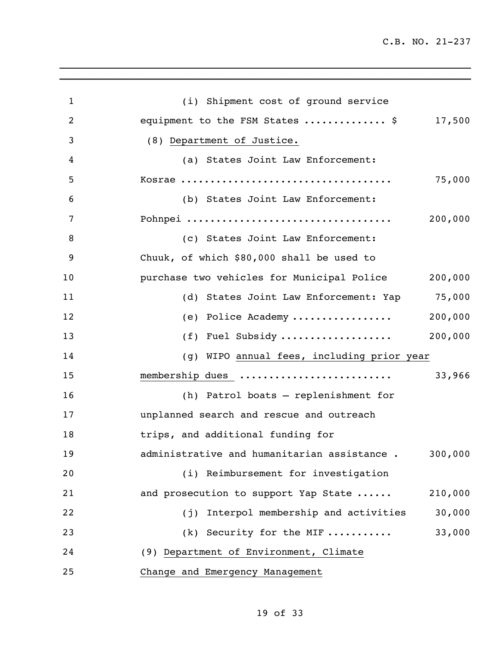| 1              | (i) Shipment cost of ground service          |         |
|----------------|----------------------------------------------|---------|
| $\overline{2}$ | equipment to the FSM States  \$              | 17,500  |
| 3              | (8) Department of Justice.                   |         |
| 4              | (a) States Joint Law Enforcement:            |         |
| 5              |                                              | 75,000  |
| 6              | (b) States Joint Law Enforcement:            |         |
| 7              | Pohnpei                                      | 200,000 |
| 8              | (c) States Joint Law Enforcement:            |         |
| 9              | Chuuk, of which \$80,000 shall be used to    |         |
| 10             | purchase two vehicles for Municipal Police   | 200,000 |
| 11             | (d) States Joint Law Enforcement: Yap 75,000 |         |
| 12             | (e) Police Academy                           | 200,000 |
| 13             | (f) Fuel Subsidy                             | 200,000 |
| 14             | (g) WIPO annual fees, including prior year   |         |
| 15             | membership dues                              | 33,966  |
| 16             | (h) Patrol boats - replenishment for         |         |
| 17             | unplanned search and rescue and outreach     |         |
| 18             | trips, and additional funding for            |         |
| 19             | administrative and humanitarian assistance.  | 300,000 |
| 20             | (i) Reimbursement for investigation          |         |
| 21             | and prosecution to support Yap State         | 210,000 |
| 22             | (j) Interpol membership and activities       | 30,000  |
| 23             | $(k)$ Security for the MIF                   | 33,000  |
| 24             | (9) Department of Environment, Climate       |         |
| 25             | Change and Emergency Management              |         |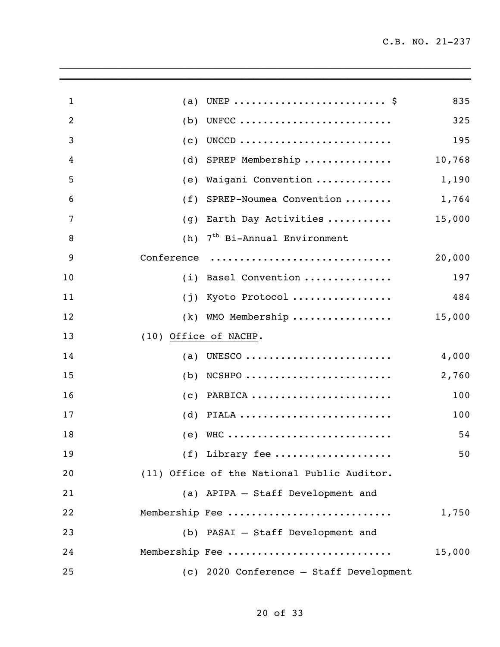| $\mathbf{1}$   | (a)                   |                                             | 835    |
|----------------|-----------------------|---------------------------------------------|--------|
| $\overline{2}$ | (b)                   | UNFCC                                       | 325    |
| 3              | (c)                   | UNCCD                                       | 195    |
| 4              | (d)                   | SPREP Membership                            | 10,768 |
| 5              | (e)                   | Waigani Convention                          | 1,190  |
| 6              | (f)                   | SPREP-Noumea Convention                     | 1,764  |
| $\overline{7}$ | (g)                   | Earth Day Activities                        | 15,000 |
| 8              | (h)                   | 7 <sup>th</sup> Bi-Annual Environment       |        |
| 9              | Conference            |                                             | 20,000 |
| 10             | (i)                   | Basel Convention                            | 197    |
| 11             | (j)                   | Kyoto Protocol                              | 484    |
| 12             | (k)                   | WMO Membership                              | 15,000 |
| 13             | (10) Office of NACHP. |                                             |        |
| 14             | (a)                   | UNESCO                                      | 4,000  |
| 15             | (b)                   | $NCSHPO$                                    | 2,760  |
| 16             | (c)                   | PARBICA                                     | 100    |
| 17             | (d)                   | PIALA                                       | 100    |
| 18             | (e)                   | WHC                                         | 54     |
| 19             |                       | (f) Library fee                             | 50     |
| 20             |                       | (11) Office of the National Public Auditor. |        |
| 21             |                       | (a) APIPA - Staff Development and           |        |
| 22             |                       | Membership Fee                              | 1,750  |
| 23             |                       | (b) PASAI - Staff Development and           |        |
| 24             |                       | Membership Fee                              | 15,000 |
| 25             |                       | (c) 2020 Conference - Staff Development     |        |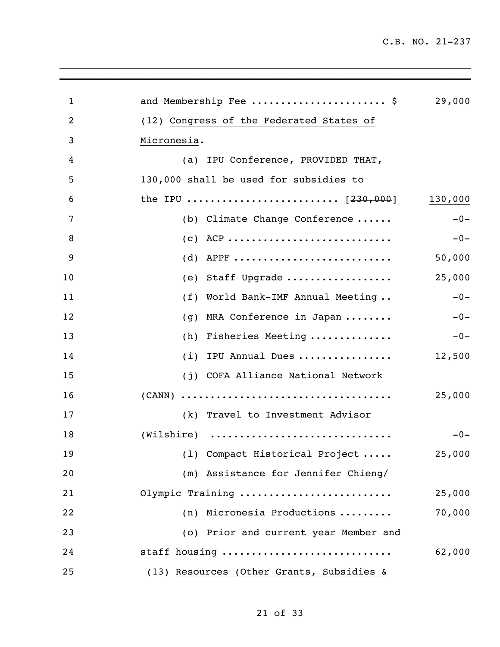| $\mathbf{1}$ | and Membership Fee  \$                    | 29,000  |
|--------------|-------------------------------------------|---------|
| 2            | (12) Congress of the Federated States of  |         |
| 3            | Micronesia.                               |         |
| 4            | (a) IPU Conference, PROVIDED THAT,        |         |
| 5            | 130,000 shall be used for subsidies to    |         |
| 6            | the IPU  [ <del>230,000</del> ]           | 130,000 |
| 7            | (b) Climate Change Conference             | $-0-$   |
| 8            | $(c)$ ACP                                 | $-0-$   |
| 9            | (d) APPF                                  | 50,000  |
| 10           | (e) Staff Upgrade                         | 25,000  |
| 11           | (f) World Bank-IMF Annual Meeting         | $-0-$   |
| 12           | (g) MRA Conference in Japan               | $-0-$   |
| 13           | (h) Fisheries Meeting                     | $-0-$   |
| 14           | (i) IPU Annual Dues                       | 12,500  |
| 15           | (j) COFA Alliance National Network        |         |
| 16           |                                           | 25,000  |
| 17           | (k) Travel to Investment Advisor          |         |
| 18           | $(Wilshire)$                              | $-0-$   |
| 19           | (1) Compact Historical Project            | 25,000  |
| 20           | (m) Assistance for Jennifer Chieng/       |         |
| 21           | Olympic Training                          | 25,000  |
| 22           | (n) Micronesia Productions                | 70,000  |
| 23           | (o) Prior and current year Member and     |         |
| 24           | staff housing                             | 62,000  |
| 25           | (13) Resources (Other Grants, Subsidies & |         |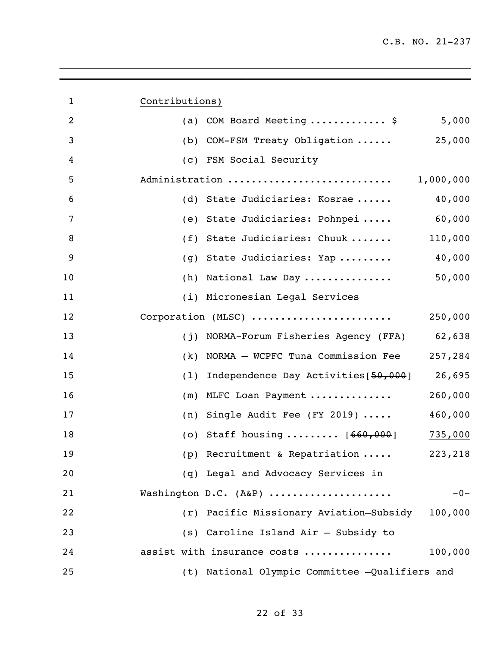| $\mathbf{1}$   | Contributions)                                   |           |
|----------------|--------------------------------------------------|-----------|
| $\overline{2}$ | COM Board Meeting  \$ 5,000<br>(a)               |           |
| 3              | (b) COM-FSM Treaty Obligation                    | 25,000    |
| 4              | (c) FSM Social Security                          |           |
| 5              | Administration                                   | 1,000,000 |
| 6              | (d) State Judiciaries: Kosrae                    | 40,000    |
| 7              | (e) State Judiciaries: Pohnpei                   | 60,000    |
| 8              | State Judiciaries: Chuuk<br>(f)                  | 110,000   |
| 9              | State Judiciaries: Yap<br>(g)                    | 40,000    |
| 10             | (h) National Law Day                             | 50,000    |
| 11             | (i) Micronesian Legal Services                   |           |
| 12             | Corporation (MLSC)                               | 250,000   |
| 13             | NORMA-Forum Fisheries Agency (FFA) 62,638<br>(i) |           |
| 14             | NORMA - WCPFC Tuna Commission Fee<br>(k)         | 257,284   |
| 15             | (1)<br>Independence Day Activities [50,000]      | 26,695    |
| 16             | MLFC Loan Payment<br>(m)                         | 260,000   |
| 17             | (n) Single Audit Fee (FY 2019) $\cdots$          | 460,000   |
| 18             | (o) Staff housing $[660,000]$                    | 735,000   |
| 19             | (p) Recruitment & Repatriation                   | 223,218   |
| 20             | (q) Legal and Advocacy Services in               |           |
| 21             | Washington D.C. (A&P)                            | $-0-$     |
| 22             | (r) Pacific Missionary Aviation-Subsidy          | 100,000   |
| 23             | (s) Caroline Island Air - Subsidy to             |           |
| 24             | assist with insurance costs                      | 100,000   |
| 25             | (t) National Olympic Committee -Qualifiers and   |           |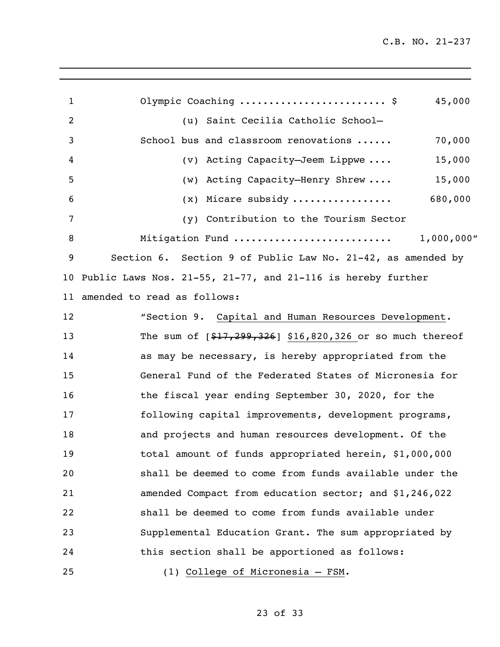| $\mathbf{1}$ | Olympic Coaching  \$<br>45,000                                 |
|--------------|----------------------------------------------------------------|
| 2            | (u) Saint Cecilia Catholic School-                             |
| 3            | School bus and classroom renovations<br>70,000                 |
| 4            | (v) Acting Capacity-Jeem Lippwe<br>15,000                      |
| 5            | (w) Acting Capacity-Henry Shrew<br>15,000                      |
| 6            | $(x)$ Micare subsidy  680,000                                  |
| 7            | (y) Contribution to the Tourism Sector                         |
| 8            | Mitigation Fund<br>1,000,000"                                  |
| 9            | Section 6. Section 9 of Public Law No. 21-42, as amended by    |
|              | 10 Public Laws Nos. 21-55, 21-77, and 21-116 is hereby further |
|              | 11 amended to read as follows:                                 |
| 12           | "Section 9. Capital and Human Resources Development.           |
| 13           | The sum of $[$17,299,326]$ \$16,820,326 or so much thereof     |
| 14           | as may be necessary, is hereby appropriated from the           |
| 15           | General Fund of the Federated States of Micronesia for         |
| 16           | the fiscal year ending September 30, 2020, for the             |
| 17           | following capital improvements, development programs,          |
| 18           | and projects and human resources development. Of the           |
| 19           | total amount of funds appropriated herein, \$1,000,000         |
| 20           | shall be deemed to come from funds available under the         |
| 21           | amended Compact from education sector; and \$1,246,022         |
| 22           | shall be deemed to come from funds available under             |
| 23           | Supplemental Education Grant. The sum appropriated by          |
| 24           | this section shall be apportioned as follows:                  |
| 25           | (1) College of Micronesia - FSM.                               |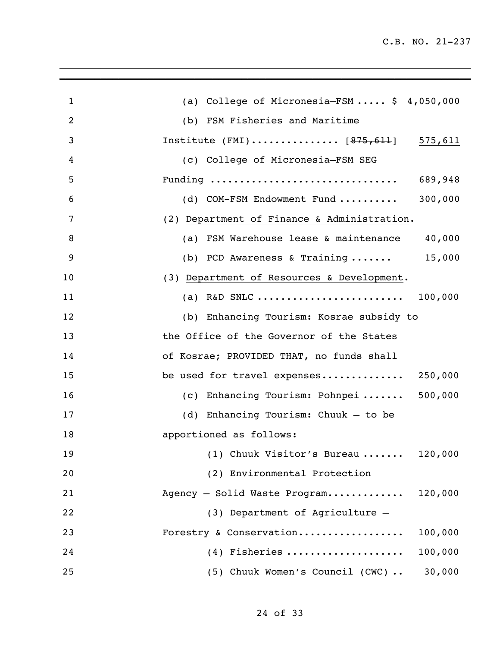| $\mathbf{1}$   | (a) College of Micronesia-FSM $$4,050,000$      |
|----------------|-------------------------------------------------|
| $\overline{2}$ | (b) FSM Fisheries and Maritime                  |
| 3              | Institute (FMI) $[875,611]$ 575,611             |
| 4              | (c) College of Micronesia-FSM SEG               |
| 5              | Funding<br>689,948                              |
| 6              | 300,000<br>(d) COM-FSM Endowment Fund           |
| 7              | (2) Department of Finance & Administration.     |
| 8              | 40,000<br>(a) FSM Warehouse lease & maintenance |
| 9              | (b) PCD Awareness & Training $15,000$           |
| 10             | (3) Department of Resources & Development.      |
| 11             | (a) R&D SNLC<br>100,000                         |
| 12             | (b) Enhancing Tourism: Kosrae subsidy to        |
| 13             | the Office of the Governor of the States        |
| 14             | of Kosrae; PROVIDED THAT, no funds shall        |
| 15             | be used for travel expenses 250,000             |
| 16             | (c) Enhancing Tourism: Pohnpei  500,000         |
| 17             | (d) Enhancing Tourism: Chuuk - to be            |
| 18             | apportioned as follows:                         |
| 19             | $(1)$ Chuuk Visitor's Bureau 120,000            |
| 20             | (2) Environmental Protection                    |
| 21             | Agency - Solid Waste Program 120,000            |
| 22             | (3) Department of Agriculture -                 |
| 23             | Forestry & Conservation<br>100,000              |
| 24             | $(4)$ Fisheries<br>100,000                      |
| 25             | 30,000<br>(5) Chuuk Women's Council (CWC)       |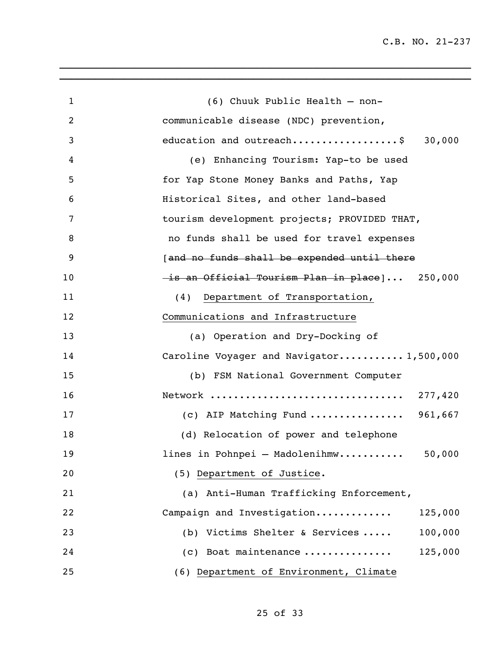| $\mathbf{1}$ | (6) Chuuk Public Health - non-                |
|--------------|-----------------------------------------------|
| 2            | communicable disease (NDC) prevention,        |
| 3            | education and outreach\$ 30,000               |
| 4            | (e) Enhancing Tourism: Yap-to be used         |
| 5            | for Yap Stone Money Banks and Paths, Yap      |
| 6            | Historical Sites, and other land-based        |
| 7            | tourism development projects; PROVIDED THAT,  |
| 8            | no funds shall be used for travel expenses    |
| 9            | [and no funds shall be expended until there   |
| 10           | is an Official Tourism Plan in place  250,000 |
| 11           | Department of Transportation,<br>(4)          |
| 12           | Communications and Infrastructure             |
| 13           | (a) Operation and Dry-Docking of              |
| 14           | Caroline Voyager and Navigator 1,500,000      |
| 15           | (b) FSM National Government Computer          |
| 16           |                                               |
| 17           | (c) AIP Matching Fund  961,667                |
| 18           | (d) Relocation of power and telephone         |
| 19           | lines in Pohnpei - Madolenihmw<br>50,000      |
| 20           | (5) Department of Justice.                    |
| 21           | (a) Anti-Human Trafficking Enforcement,       |
| 22           | Campaign and Investigation<br>125,000         |
| 23           | (b) Victims Shelter & Services<br>100,000     |
| 24           | (c) Boat maintenance<br>125,000               |
| 25           | (6) Department of Environment, Climate        |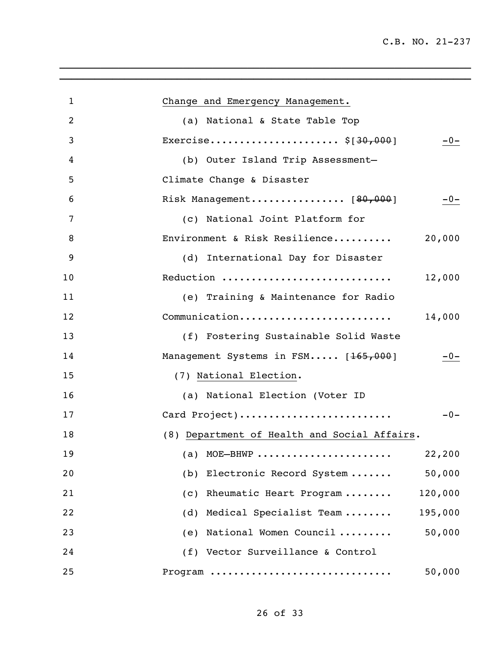| 1  | Change and Emergency Management.             |
|----|----------------------------------------------|
| 2  | (a) National & State Table Top               |
| 3  | Exercise $$[30,000]$<br>$-0-$                |
| 4  | (b) Outer Island Trip Assessment-            |
| 5  | Climate Change & Disaster                    |
| 6  | Risk Management [80,000]<br>$-0-$            |
| 7  | (c) National Joint Platform for              |
| 8  | Environment & Risk Resilience<br>20,000      |
| 9  | (d) International Day for Disaster           |
| 10 | Reduction<br>12,000                          |
| 11 | (e) Training & Maintenance for Radio         |
| 12 | Communication<br>14,000                      |
| 13 | (f) Fostering Sustainable Solid Waste        |
| 14 | Management Systems in FSM [165,000]<br>$-0-$ |
| 15 | (7) National Election.                       |
| 16 | (a) National Election (Voter ID              |
| 17 | Card Project)<br>$-0-$                       |
| 18 | (8) Department of Health and Social Affairs. |
| 19 | 22,200<br>(a) MOE—BHWP                       |
| 20 | 50,000<br>(b)<br>Electronic Record System    |
| 21 | 120,000<br>(c) Rheumatic Heart Program       |
| 22 | (d) Medical Specialist Team<br>195,000       |
| 23 | (e) National Women Council<br>50,000         |
| 24 | (f) Vector Surveillance & Control            |
| 25 | 50,000<br>Program                            |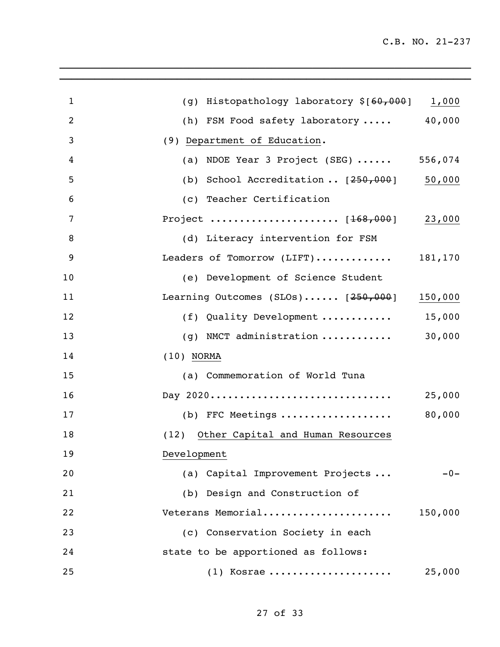| $\mathbf{1}$ | (g) Histopathology laboratory $$[60,000]$ 1,000       |         |
|--------------|-------------------------------------------------------|---------|
| 2            | (h) FSM Food safety laboratory  40,000                |         |
| 3            | (9) Department of Education.                          |         |
| 4            | (a) NDOE Year 3 Project (SEG)  556,074                |         |
| 5            | (b) School Accreditation $[250,000]$ 50,000           |         |
| 6            | (c) Teacher Certification                             |         |
| 7            |                                                       |         |
| 8            | (d) Literacy intervention for FSM                     |         |
| 9            | Leaders of Tomorrow (LIFT) $181,170$                  |         |
| 10           | (e) Development of Science Student                    |         |
| 11           | Learning Outcomes (SLOs) $[250,000]$ 150,000          |         |
| 12           | (f) Quality Development $15,000$                      |         |
| 13           | (g) NMCT administration $\ldots \ldots \ldots$ 30,000 |         |
| 14           | $(10)$ NORMA                                          |         |
| 15           | (a) Commemoration of World Tuna                       |         |
| 16           | Day 2020                                              | 25,000  |
| 17           | (b) FFC Meetings                                      | 80,000  |
| 18           | (12) Other Capital and Human Resources                |         |
| 19           | Development                                           |         |
| 20           | (a) Capital Improvement Projects                      | $-0-$   |
| 21           | (b) Design and Construction of                        |         |
| 22           | Veterans Memorial                                     | 150,000 |
| 23           | (c) Conservation Society in each                      |         |
| 24           | state to be apportioned as follows:                   |         |
| 25           | $(1)$ Kosrae                                          | 25,000  |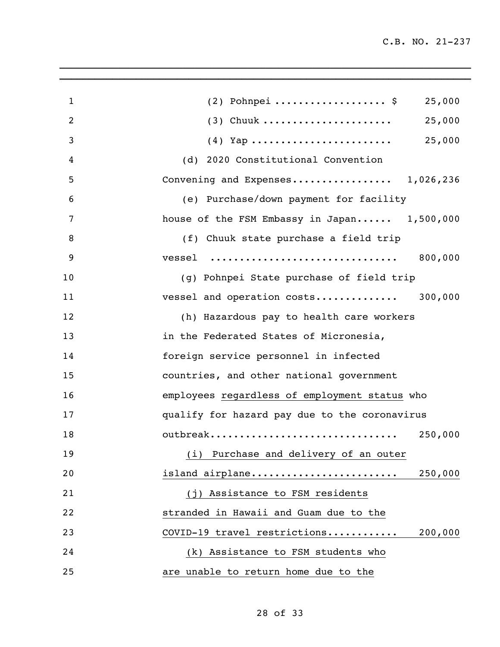| $\mathbf{1}$   | $(2)$ Pohnpei \$<br>25,000                    |
|----------------|-----------------------------------------------|
| $\overline{2}$ | $(3)$ Chuuk<br>25,000                         |
| 3              | 25,000                                        |
| 4              | (d) 2020 Constitutional Convention            |
| 5              | Convening and Expenses 1,026,236              |
| 6              | (e) Purchase/down payment for facility        |
| 7              | house of the FSM Embassy in Japan 1,500,000   |
| 8              | (f) Chuuk state purchase a field trip         |
| 9              | 800,000<br>vessel                             |
| 10             | (g) Pohnpei State purchase of field trip      |
| 11             | vessel and operation costs 300,000            |
| 12             | (h) Hazardous pay to health care workers      |
| 13             | in the Federated States of Micronesia,        |
| 14             | foreign service personnel in infected         |
| 15             | countries, and other national government      |
| 16             | employees regardless of employment status who |
| 17             | qualify for hazard pay due to the coronavirus |
| 18             | outbreak<br>250,000                           |
| 19             | (i) Purchase and delivery of an outer         |
| 20             | 250,000<br>island airplane                    |
| 21             | (j) Assistance to FSM residents               |
| 22             | stranded in Hawaii and Guam due to the        |
| 23             | COVID-19 travel restrictions<br>200,000       |
| 24             | (k) Assistance to FSM students who            |
| 25             | are unable to return home due to the          |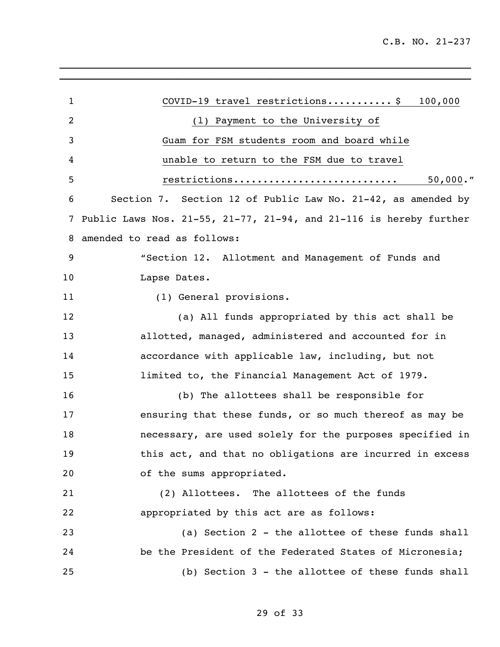| $\mathbf{1}$ | COVID-19 travel restrictions\$<br>100,000                                     |
|--------------|-------------------------------------------------------------------------------|
| 2            | (1) Payment to the University of                                              |
| 3            | Guam for FSM students room and board while                                    |
| 4            | unable to return to the FSM due to travel                                     |
| 5            | $50,000.$ "<br>restrictions                                                   |
| 6            | Section 7. Section 12 of Public Law No. 21-42, as amended by                  |
| 7            | Public Laws Nos. $21-55$ , $21-77$ , $21-94$ , and $21-116$ is hereby further |
| 8            | amended to read as follows:                                                   |
| 9            | "Section 12. Allotment and Management of Funds and                            |
| 10           | Lapse Dates.                                                                  |
| 11           | (1) General provisions.                                                       |
| 12           | (a) All funds appropriated by this act shall be                               |
| 13           | allotted, managed, administered and accounted for in                          |
| 14           | accordance with applicable law, including, but not                            |
| 15           | limited to, the Financial Management Act of 1979.                             |
| 16           | (b) The allottees shall be responsible for                                    |
| 17           | ensuring that these funds, or so much thereof as may be                       |
| 18           | necessary, are used solely for the purposes specified in                      |
| 19           | this act, and that no obligations are incurred in excess                      |
| 20           | of the sums appropriated.                                                     |
| 21           | (2) Allottees. The allottees of the funds                                     |
| 22           | appropriated by this act are as follows:                                      |
| 23           | (a) Section 2 - the allottee of these funds shall                             |
| 24           | be the President of the Federated States of Micronesia;                       |
| 25           | (b) Section 3 - the allottee of these funds shall                             |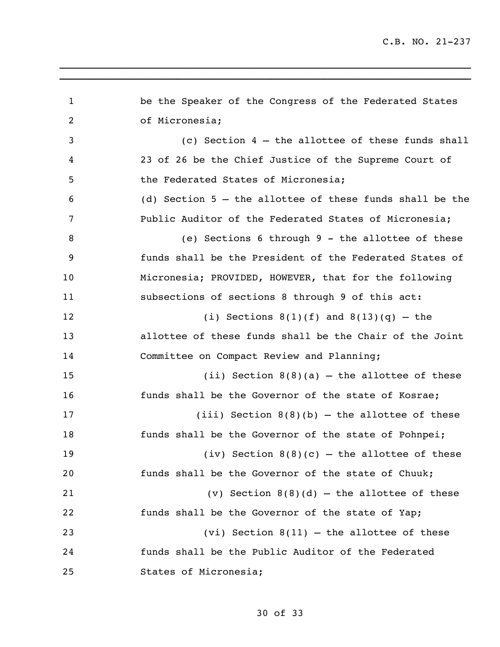| $\mathbf 1$ | be the Speaker of the Congress of the Federated States     |
|-------------|------------------------------------------------------------|
| 2           | of Micronesia;                                             |
| 3           | (c) Section $4$ - the allottee of these funds shall        |
| 4           | 23 of 26 be the Chief Justice of the Supreme Court of      |
| 5           | the Federated States of Micronesia;                        |
| 6           | (d) Section $5$ - the allottee of these funds shall be the |
| 7           | Public Auditor of the Federated States of Micronesia;      |
| 8           | (e) Sections 6 through 9 - the allottee of these           |
| 9           | funds shall be the President of the Federated States of    |
| 10          | Micronesia; PROVIDED, HOWEVER, that for the following      |
| 11          | subsections of sections 8 through 9 of this act:           |
| 12          | (i) Sections $8(1)(f)$ and $8(13)(q)$ - the                |
| 13          | allottee of these funds shall be the Chair of the Joint    |
| 14          | Committee on Compact Review and Planning;                  |
| 15          | (ii) Section $8(8)(a)$ - the allottee of these             |
| 16          | funds shall be the Governor of the state of Kosrae;        |
| 17          | (iii) Section $8(8)(b)$ - the allottee of these            |
| 18          | funds shall be the Governor of the state of Pohnpei;       |
| 19          | (iv) Section $8(8)(c)$ – the allottee of these             |
| 20          | funds shall be the Governor of the state of Chuuk;         |
| 21          | (v) Section $8(8)(d)$ - the allottee of these              |
| 22          | funds shall be the Governor of the state of Yap;           |
| 23          | $(vi)$ Section 8(11) - the allottee of these               |
| 24          | funds shall be the Public Auditor of the Federated         |
| 25          | States of Micronesia;                                      |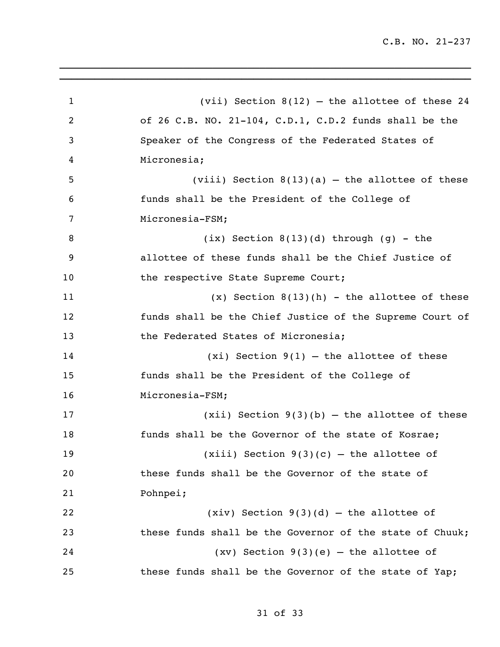(vii) Section 8(12) – the allottee of these 24 of 26 C.B. NO. 21-104, C.D.1, C.D.2 funds shall be the Speaker of the Congress of the Federated States of Micronesia; (viii) Section 8(13)(a) – the allottee of these funds shall be the President of the College of Micronesia-FSM;  $(ix)$  Section 8(13)(d) through (g) - the allottee of these funds shall be the Chief Justice of 10 the respective State Supreme Court; (x) Section 8(13)(h) - the allottee of these funds shall be the Chief Justice of the Supreme Court of 13 the Federated States of Micronesia; (xi) Section 9(1) – the allottee of these funds shall be the President of the College of Micronesia-FSM; (xii) Section 9(3)(b) – the allottee of these funds shall be the Governor of the state of Kosrae; (xiii) Section 9(3)(c) – the allottee of these funds shall be the Governor of the state of Pohnpei; (xiv) Section 9(3)(d) – the allottee of these funds shall be the Governor of the state of Chuuk; (xv) Section 9(3)(e) – the allottee of these funds shall be the Governor of the state of Yap;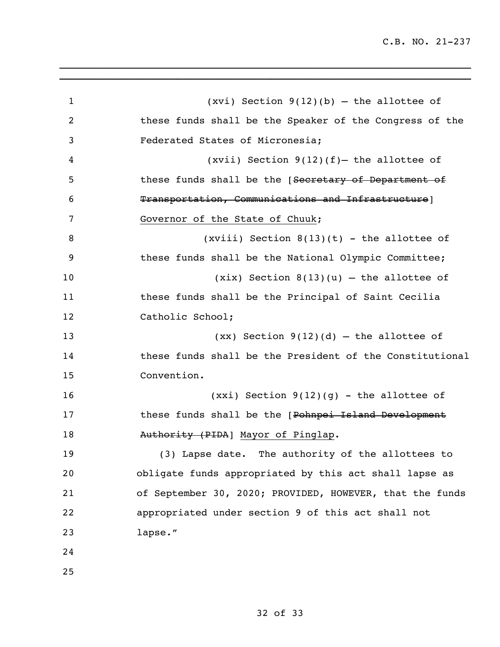| $\mathbf 1$ | $(xvi)$ Section 9(12)(b) – the allottee of               |
|-------------|----------------------------------------------------------|
| 2           | these funds shall be the Speaker of the Congress of the  |
| 3           | Federated States of Micronesia;                          |
| 4           | (xvii) Section $9(12)(f)$ the allottee of                |
| 5           | these funds shall be the [Secretary of Department of     |
| 6           | Transportation, Communications and Infrastructure]       |
| 7           | Governor of the State of Chuuk;                          |
| 8           | (xviii) Section $8(13)(t)$ - the allottee of             |
| 9           | these funds shall be the National Olympic Committee;     |
| 10          | $(xix)$ Section 8(13)(u) – the allottee of               |
| 11          | these funds shall be the Principal of Saint Cecilia      |
| 12          | Catholic School;                                         |
| 13          | $(xx)$ Section 9(12)(d) – the allottee of                |
| 14          | these funds shall be the President of the Constitutional |
| 15          | Convention.                                              |
| 16          | $(xxi)$ Section 9(12)(g) – the allottee of               |
| 17          | these funds shall be the [Pohnpei Island Development     |
| 18          | Authority (PIDA) Mayor of Pinglap.                       |
| 19          | (3) Lapse date. The authority of the allottees to        |
| 20          | obligate funds appropriated by this act shall lapse as   |
| 21          | of September 30, 2020; PROVIDED, HOWEVER, that the funds |
| 22          | appropriated under section 9 of this act shall not       |
| 23          | lapse."                                                  |
| 24          |                                                          |
| 25          |                                                          |